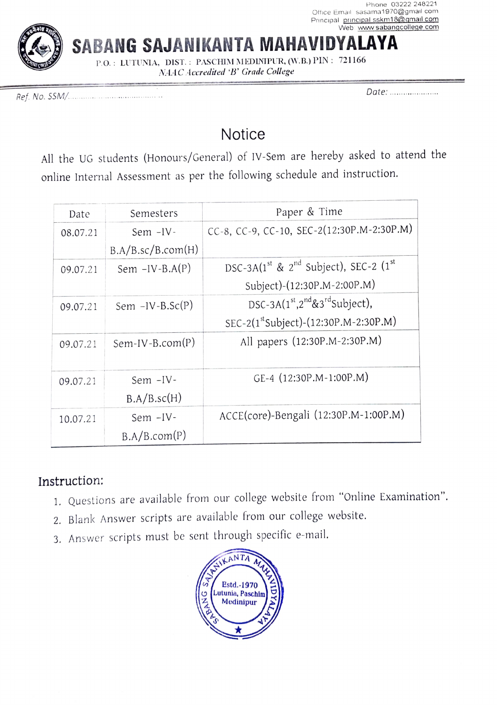

SABANG SAJANIKANTA MAHA

P.O.: LUTUNIA, DIST.: PASCHIM MEDINIPUR, (W.B.) PIN: 721166 NAAC Accredited 'B° Grade College

Date: . \*snn Ref. No. SSM/..

## **Notice**

All the UG students (Honours/General) of IV-Sem are hereby asked to attend the online Internal Assessment as per the following schedule and instruction.

| Date     | Semesters         | Paper & Time                                                              |
|----------|-------------------|---------------------------------------------------------------------------|
| 08.07.21 | Sem $-IV$ -       | CC-8, CC-9, CC-10, SEC-2(12:30P.M-2:30P.M)                                |
|          | B.A/B.sc/B.com(H) |                                                                           |
| 09.07.21 | Sem $-IV-B.A(P)$  | DSC-3A(1 <sup>st</sup> & 2 <sup>nd</sup> Subject), SEC-2 (1 <sup>st</sup> |
|          |                   | Subject)-(12:30P.M-2:00P.M)                                               |
| 09.07.21 | Sem $-IV-B.Sc(P)$ | DSC-3A $(1st,2nd&3rdSubject)$ ,                                           |
|          |                   | SEC-2(1st Subject)-(12:30P.M-2:30P.M)                                     |
| 09.07.21 | $Sem-IV-B.com(P)$ | All papers (12:30P.M-2:30P.M)                                             |
|          |                   |                                                                           |
| 09.07.21 | Sem -IV-          | GE-4 (12:30P.M-1:00P.M)                                                   |
|          | B.A/B.sc(H)       |                                                                           |
| 10.07.21 | Sem -IV-          | ACCE(core)-Bengali (12:30P.M-1:00P.M)                                     |
|          | B.A/B.com(P)      |                                                                           |

## Instruction:

- 1. Questions are available from our college website from "Online Examination".
- 2. Blank Answer scripts are available from our college website.
- 3. Answer scripts must be sent through specific e-mail.